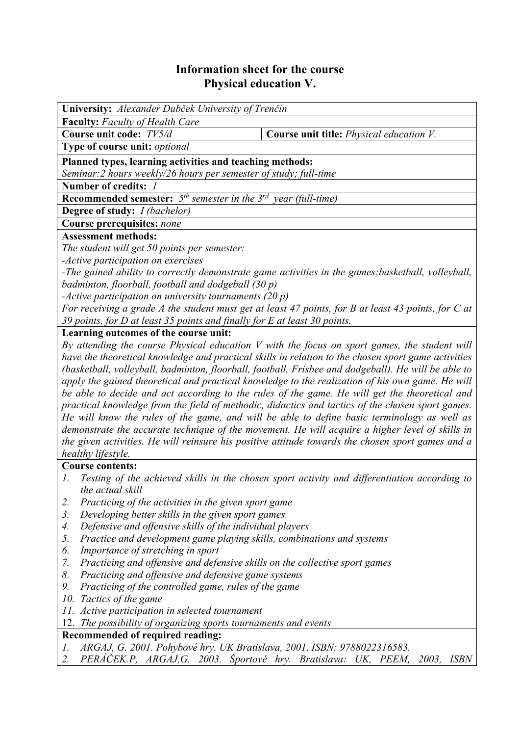# **Information sheet for the course Physical education V.**

| University: Alexander Dubček University of Trenčín                                                        |                                                                                              |
|-----------------------------------------------------------------------------------------------------------|----------------------------------------------------------------------------------------------|
| Faculty: Faculty of Health Care                                                                           |                                                                                              |
| Course unit code: TV5/d                                                                                   | Course unit title: Physical education V.                                                     |
| Type of course unit: optional                                                                             |                                                                                              |
| Planned types, learning activities and teaching methods:                                                  |                                                                                              |
| Seminar: 2 hours weekly/26 hours per semester of study; full-time                                         |                                                                                              |
| Number of credits: 1                                                                                      |                                                                                              |
| <b>Recommended semester:</b> $5th$ semester in the $3rd$ year (full-time)                                 |                                                                                              |
| <b>Degree of study:</b> <i>I (bachelor)</i>                                                               |                                                                                              |
| Course prerequisites: none                                                                                |                                                                                              |
| <b>Assessment methods:</b>                                                                                |                                                                                              |
| The student will get 50 points per semester:                                                              |                                                                                              |
| -Active participation on exercises                                                                        |                                                                                              |
| -The gained ability to correctly demonstrate game activities in the games: basketball, volleyball,        |                                                                                              |
| badminton, floorball, football and dodgeball (30 p)                                                       |                                                                                              |
| -Active participation on university tournaments (20 p)                                                    |                                                                                              |
| For receiving a grade $A$ the student must get at least 47 points, for $B$ at least 43 points, for $C$ at |                                                                                              |
| 39 points, for D at least 35 points and finally for E at least 30 points.                                 |                                                                                              |
| Learning outcomes of the course unit:                                                                     |                                                                                              |
| By attending the course Physical education $V$ with the focus on sport games, the student will            |                                                                                              |
| have the theoretical knowledge and practical skills in relation to the chosen sport game activities       |                                                                                              |
| (basketball, volleyball, badminton, floorball, football, Frisbee and dodgeball). He will be able to       |                                                                                              |
| apply the gained theoretical and practical knowledge to the realization of his own game. He will          |                                                                                              |
| be able to decide and act according to the rules of the game. He will get the theoretical and             |                                                                                              |
| practical knowledge from the field of methodic, didactics and tactics of the chosen sport games.          |                                                                                              |
| He will know the rules of the game, and will be able to define basic terminology as well as               |                                                                                              |
| demonstrate the accurate technique of the movement. He will acquire a higher level of skills in           |                                                                                              |
| the given activities. He will reinsure his positive attitude towards the chosen sport games and a         |                                                                                              |
| healthy lifestyle.                                                                                        |                                                                                              |
| <b>Course contents:</b>                                                                                   |                                                                                              |
| 1.                                                                                                        | Testing of the achieved skills in the chosen sport activity and differentiation according to |
| the actual skill                                                                                          |                                                                                              |
| Practicing of the activities in the given sport game<br>2.                                                |                                                                                              |
| 3.<br>Developing better skills in the given sport games                                                   |                                                                                              |
| Defensive and offensive skills of the individual players<br>4.                                            |                                                                                              |
| 5.<br>Practice and development game playing skills, combinations and systems                              |                                                                                              |
| 6.<br>Importance of stretching in sport                                                                   |                                                                                              |
| Practicing and offensive and defensive skills on the collective sport games<br>7.                         |                                                                                              |
| 8.<br>Practicing and offensive and defensive game systems                                                 |                                                                                              |
| 9.<br>Practicing of the controlled game, rules of the game                                                |                                                                                              |
| 10. Tactics of the game                                                                                   |                                                                                              |
| 11. Active participation in selected tournament                                                           |                                                                                              |
| 12. The possibility of organizing sports tournaments and events                                           |                                                                                              |

## **Recommended of required reading:**

- *1. ARGAJ, G. 2001. Pohybové hry. UK Bratislava, 2001, ISBN: 9788022316583.*
- *2. PERÁČEK.P, ARGAJ,G. 2003. Športové hry. Bratislava: UK, PEEM, 2003, ISBN*